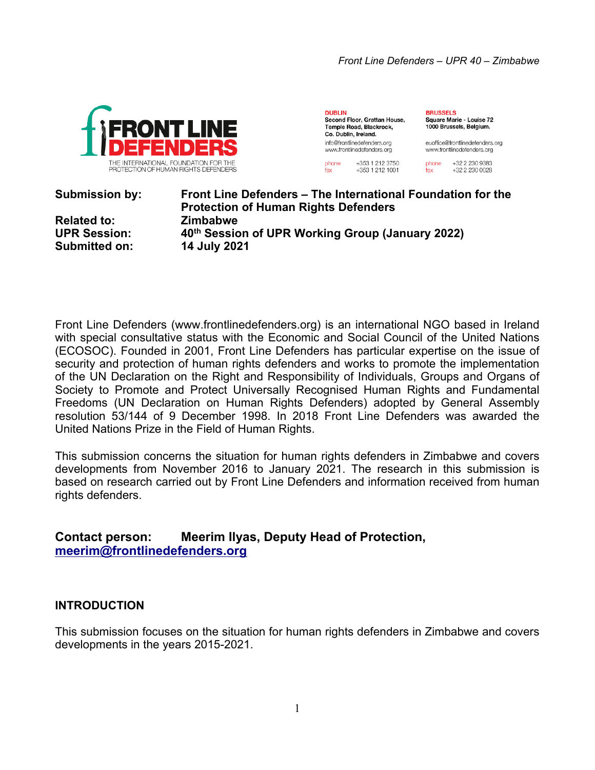

**DUBLIN** Second Floor, Grattan House. Temple Road, Blackrock, Co. Dublin, Ireland. info@frontlinedefenders.org www.frontlinedefenders.org

+353 1 212 3750

+353 1 212 1001

phone

fax

**BRUSSELS** Square Marie - Louise 72 1000 Brussels, Belgium.

euoffice@frontlinedefenders.org www.frontlinedefenders.org

phone +32 2 230 9383 +32 2 230 0028 fax

**Submission by: Front Line Defenders – The International Foundation for the**

**Protection of Human Rights Defenders Related to: Zimbabwe UPR Session: 40th Session of UPR Working Group (January 2022) Submitted on: 14 July 2021**

Front Line Defenders (www.frontlinedefenders.org) is an international NGO based in Ireland with special consultative status with the Economic and Social Council of the United Nations (ECOSOC). Founded in 2001, Front Line Defenders has particular expertise on the issue of security and protection of human rights defenders and works to promote the implementation of the UN Declaration on the Right and Responsibility of Individuals, Groups and Organs of Society to Promote and Protect Universally Recognised Human Rights and Fundamental Freedoms (UN Declaration on Human Rights Defenders) adopted by General Assembly resolution 53/144 of 9 December 1998. In 2018 Front Line Defenders was awarded the United Nations Prize in the Field of Human Rights.

This submission concerns the situation for human rights defenders in Zimbabwe and covers developments from November 2016 to January 2021. The research in this submission is based on research carried out by Front Line Defenders and information received from human rights defenders.

# **Contact person: Meerim Ilyas, Deputy Head of Protection, [meerim@frontlinedefenders.org](mailto:meerim@frontlinedefenders.org)**

## **INTRODUCTION**

This submission focuses on the situation for human rights defenders in Zimbabwe and covers developments in the years 2015-2021.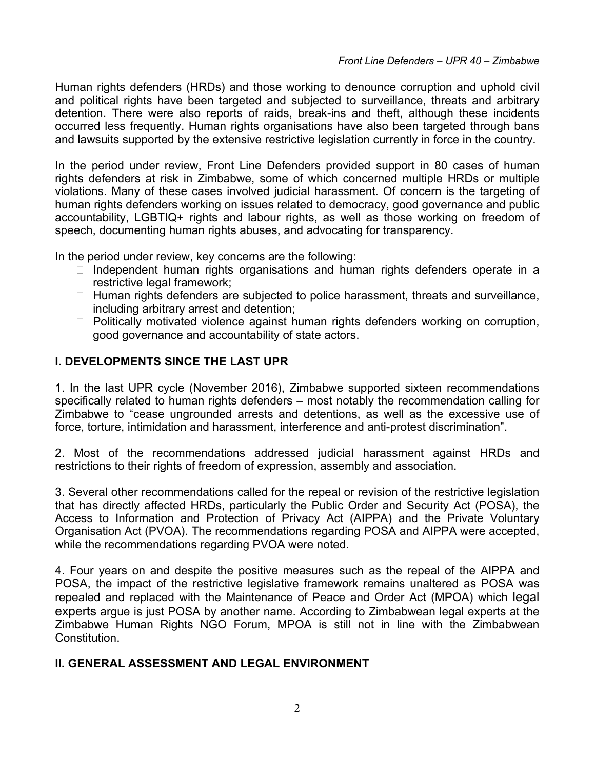Human rights defenders (HRDs) and those working to denounce corruption and uphold civil and political rights have been targeted and subjected to surveillance, threats and arbitrary detention. There were also reports of raids, break-ins and theft, although these incidents occurred less frequently. Human rights organisations have also been targeted through bans and lawsuits supported by the extensive restrictive legislation currently in force in the country.

In the period under review, Front Line Defenders provided support in 80 cases of human rights defenders at risk in Zimbabwe, some of which concerned multiple HRDs or multiple violations. Many of these cases involved judicial harassment. Of concern is the targeting of human rights defenders working on issues related to democracy, good governance and public accountability, LGBTIQ+ rights and labour rights, as well as those working on freedom of speech, documenting human rights abuses, and advocating for transparency.

In the period under review, key concerns are the following:

- $\Box$  Independent human rights organisations and human rights defenders operate in a restrictive legal framework;
- $\Box$  Human rights defenders are subjected to police harassment, threats and surveillance, including arbitrary arrest and detention;
- $\Box$  Politically motivated violence against human rights defenders working on corruption, good governance and accountability of state actors.

### **I. DEVELOPMENTS SINCE THE LAST UPR**

1. In the last UPR cycle (November 2016), Zimbabwe supported sixteen recommendations specifically related to human rights defenders – most notably the recommendation calling for Zimbabwe to "cease ungrounded arrests and detentions, as well as the excessive use of force, torture, intimidation and harassment, interference and anti-protest discrimination".

2. Most of the recommendations addressed judicial harassment against HRDs and restrictions to their rights of freedom of expression, assembly and association.

3. Several other recommendations called for the repeal or revision of the restrictive legislation that has directly affected HRDs, particularly the Public Order and Security Act (POSA), the Access to Information and Protection of Privacy Act (AIPPA) and the Private Voluntary Organisation Act (PVOA). The recommendations regarding POSA and AIPPA were accepted, while the recommendations regarding PVOA were noted.

4. Four years on and despite the positive measures such as the repeal of the AIPPA and POSA, the impact of the restrictive legislative framework remains unaltered as POSA was repealed and replaced with the Maintenance of Peace and Order Act (MPOA) which legal experts argue is just POSA by another name. According to Zimbabwean legal experts at the Zimbabwe Human Rights NGO Forum, MPOA is still not in line with the Zimbabwean Constitution.

#### **II. GENERAL ASSESSMENT AND LEGAL ENVIRONMENT**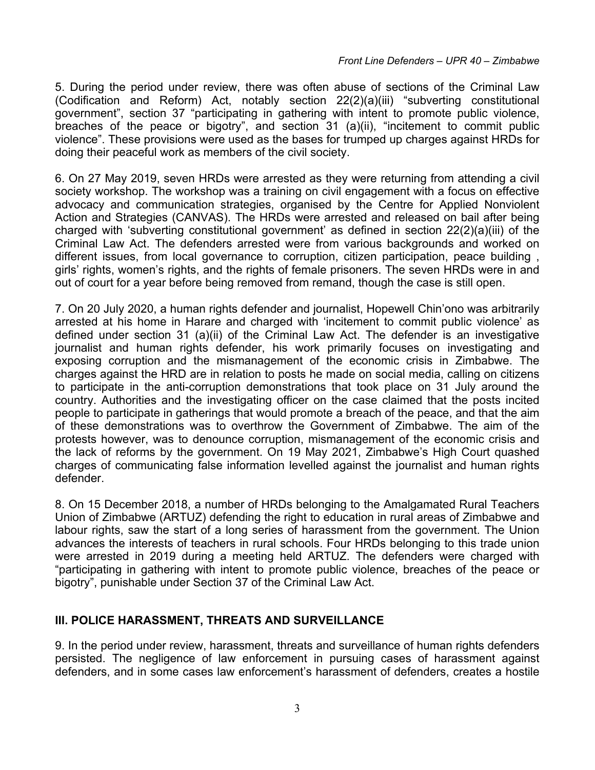5. During the period under review, there was often abuse of sections of the Criminal Law (Codification and Reform) Act, notably section 22(2)(a)(iii) "subverting constitutional government", section 37 "participating in gathering with intent to promote public violence, breaches of the peace or bigotry", and section 31 (a)(ii), "incitement to commit public violence". These provisions were used as the bases for trumped up charges against HRDs for doing their peaceful work as members of the civil society.

6. On 27 May 2019, seven HRDs were arrested as they were returning from attending <sup>a</sup> civil society workshop. The workshop was <sup>a</sup> training on civil engagement with <sup>a</sup> focus on effective advocacy and communication strategies, organised by the Centre for Applied Nonviolent Action and Strategies (CANVAS). The HRDs were arrested and released on bail after being charged with 'subverting constitutional government' as defined in section 22(2)(a)(iii) of the Criminal Law Act. The defenders arrested were from various backgrounds and worked on different issues, from local governance to corruption, citizen participation, peace building , girls' rights, women'<sup>s</sup> rights, and the rights of female prisoners. The seven HRDs were in and out of court for <sup>a</sup> year before being removed from remand, though the case is still open.

7. On 20 July 2020, <sup>a</sup> human rights defender and journalist, Hopewell Chin'ono was arbitrarily arrested at his home in Harare and charged with 'incitement to commit public violence' as defined under section 31 (a)(ii) of the Criminal Law Act. The defender is an investigative journalist and human rights defender, his work primarily focuses on investigating and exposing corruption and the mismanagement of the economic crisis in Zimbabwe. The charges against the HRD are in relation to posts he made on social media, calling on citizens to participate in the anti-corruption demonstrations that took place on 31 July around the country. Authorities and the investigating officer on the case claimed that the posts incited people to participate in gatherings that would promote <sup>a</sup> breach of the peace, and that the aim of these demonstrations was to overthrow the Government of Zimbabwe. The aim of the protests however, was to denounce corruption, mismanagement of the economic crisis and the lack of reforms by the government. On 19 May 2021, Zimbabwe'<sup>s</sup> High Court quashed charges of communicating false information levelled against the journalist and human rights defender.

8. On 15 December 2018, <sup>a</sup> number of HRDs belonging to the Amalgamated Rural Teachers Union of Zimbabwe (ARTUZ) defending the right to education in rural areas of Zimbabwe and labour rights, saw the start of <sup>a</sup> long series of harassment from the government. The Union advances the interests of teachers in rural schools. Four HRDs belonging to this trade union were arrested in 2019 during <sup>a</sup> meeting held ARTUZ. The defenders were charged with "participating in gathering with intent to promote public violence, breaches of the peace or bigotry", punishable under Section 37 of the Criminal Law Act.

#### **III. POLICE HARASSMENT, THREATS AND SURVEILLANCE**

9. In the period under review, harassment, threats and surveillance of human rights defenders persisted. The negligence of law enforcement in pursuing cases of harassment against defenders, and in some cases law enforcement'<sup>s</sup> harassment of defenders, creates <sup>a</sup> hostile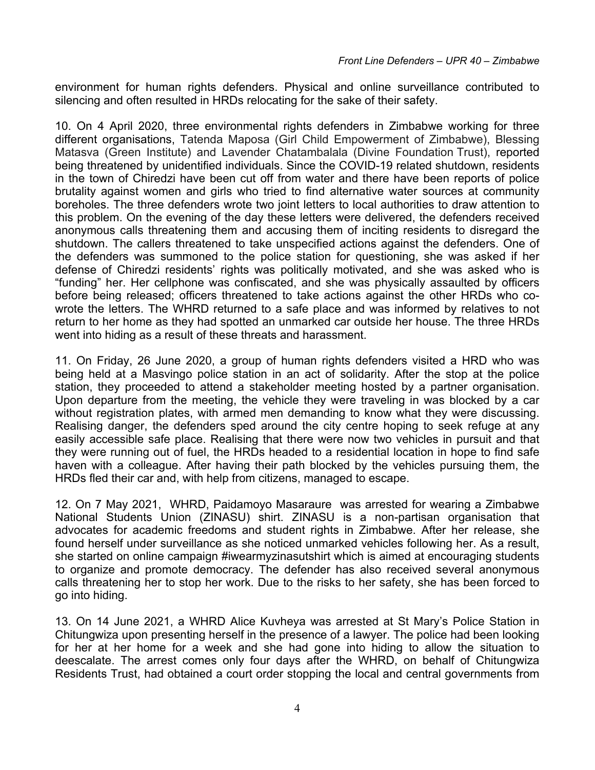environment for human rights defenders. Physical and online surveillance contributed to silencing and often resulted in HRDs relocating for the sake of their safety.

10. On 4 April 2020, three environmental rights defenders in Zimbabwe working for three different organisations, Tatenda Maposa (Girl Child Empowerment of Zimbabwe), Blessing Matasva (Green Institute) and Lavender Chatambalala (Divine Foundation Trust), reported being threatened by unidentified individuals. Since the COVID-19 related shutdown, residents in the town of Chiredzi have been cut off from water and there have been reports of police brutality against women and girls who tried to find alternative water sources at community boreholes. The three defenders wrote two joint letters to local authorities to draw attention to this problem. On the evening of the day these letters were delivered, the defenders received anonymous calls threatening them and accusing them of inciting residents to disregard the shutdown. The callers threatened to take unspecified actions against the defenders. One of the defenders was summoned to the police station for questioning, she was asked if her defense of Chiredzi residents' rights was politically motivated, and she was asked who is "funding" her. Her cellphone was confiscated, and she was physically assaulted by officers before being released; officers threatened to take actions against the other HRDs who cowrote the letters. The WHRD returned to <sup>a</sup> safe place and was informed by relatives to not return to her home as they had spotted an unmarked car outside her house. The three HRDs went into hiding as <sup>a</sup> result of these threats and harassment.

11. On Friday, 26 June 2020, <sup>a</sup> group of human rights defenders visited <sup>a</sup> HRD who was being held at <sup>a</sup> Masvingo police station in an act of solidarity. After the stop at the police station, they proceeded to attend <sup>a</sup> stakeholder meeting hosted by <sup>a</sup> partner organisation. Upon departure from the meeting, the vehicle they were traveling in was blocked by <sup>a</sup> car without registration plates, with armed men demanding to know what they were discussing. Realising danger, the defenders sped around the city centre hoping to seek refuge at any easily accessible safe place. Realising that there were now two vehicles in pursuit and that they were running out of fuel, the HRDs headed to <sup>a</sup> residential location in hope to find safe haven with <sup>a</sup> colleague. After having their path blocked by the vehicles pursuing them, the HRDs fled their car and, with help from citizens, managed to escape.

12. On 7 May 2021, WHRD, Paidamoyo Masaraure was arrested for wearing <sup>a</sup> Zimbabwe National Students Union (ZINASU) shirt. ZINASU is <sup>a</sup> non-partisan organisation that advocates for academic freedoms and student rights in Zimbabwe. After her release, she found herself under surveillance as she noticed unmarked vehicles following her. As <sup>a</sup> result, she started on online campaign #iwearmyzinasutshirt which is aimed at encouraging students to organize and promote democracy. The defender has also received several anonymous calls threatening her to stop her work. Due to the risks to her safety, she has been forced to go into hiding.

13. On 14 June 2021, <sup>a</sup> WHRD Alice Kuvheya was arrested at St Mary'<sup>s</sup> Police Station in Chitungwiza upon presenting herself in the presence of <sup>a</sup> lawyer. The police had been looking for her at her home for <sup>a</sup> week and she had gone into hiding to allow the situation to deescalate. The arrest comes only four days after the WHRD, on behalf of Chitungwiza Residents Trust, had obtained <sup>a</sup> court order stopping the local and central governments from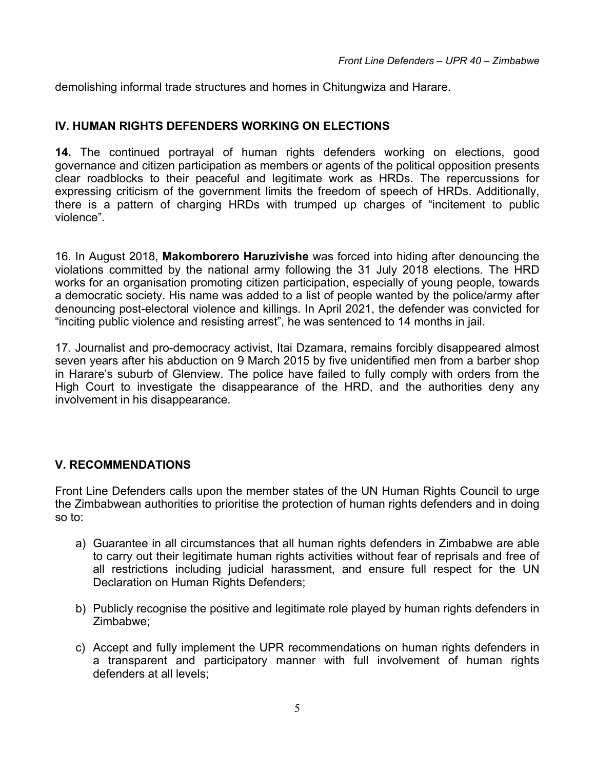demolishing informal trade structures and homes in Chitungwiza and Harare.

#### **IV. HUMAN RIGHTS DEFENDERS WORKING ON ELECTIONS**

**14.** The continued portrayal of human rights defenders working on elections, good governance and citizen participation as members or agents of the political opposition presents clear roadblocks to their peaceful and legitimate work as HRDs. The repercussions for expressing criticism of the government limits the freedom of speech of HRDs. Additionally, there is <sup>a</sup> pattern of charging HRDs with trumped up charges of "incitement to public violence".

16. In August 2018, **Makomborero Haruzivishe** was forced into hiding after denouncing the violations committed by the national army following the 31 July 2018 elections. The HRD works for an organisation promoting citizen participation, especially of young people, towards <sup>a</sup> democratic society. His name was added to <sup>a</sup> list of people wanted by the police/army after denouncing post-electoral violence and killings. In April 2021, the defender was convicted for "inciting public violence and resisting arrest", he was sentenced to 14 months in jail.

17. Journalist and pro-democracy activist, Itai Dzamara, remains forcibly disappeared almost seven years after his abduction on 9 March 2015 by five unidentified men from <sup>a</sup> barber shop in Harare'<sup>s</sup> suburb of Glenview. The police have failed to fully comply with orders from the High Court to investigate the disappearance of the HRD, and the authorities deny any involvement in his disappearance.

## **V. RECOMMENDATIONS**

Front Line Defenders calls upon the member states of the UN Human Rights Council to urge the Zimbabwean authorities to prioritise the protection of human rights defenders and in doing so to:

- a) Guarantee in all circumstances that all human rights defenders in Zimbabwe are able to carry out their legitimate human rights activities without fear of reprisals and free of all restrictions including judicial harassment, and ensure full respect for the UN Declaration on Human Rights Defenders;
- b) Publicly recognise the positive and legitimate role played by human rights defenders in Zimbabwe;
- c) Accept and fully implement the UPR recommendations on human rights defenders in <sup>a</sup> transparent and participatory manner with full involvement of human rights defenders at all levels;